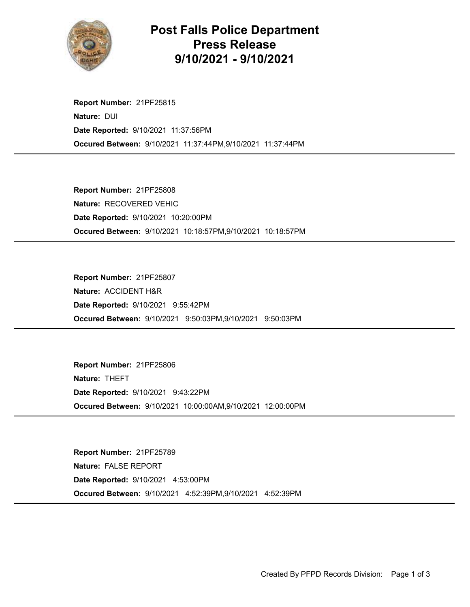

## Post Falls Police Department Press Release 9/10/2021 - 9/10/2021

Occured Between: 9/10/2021 11:37:44PM,9/10/2021 11:37:44PM Report Number: 21PF25815 Nature: DUI Date Reported: 9/10/2021 11:37:56PM

Occured Between: 9/10/2021 10:18:57PM,9/10/2021 10:18:57PM Report Number: 21PF25808 Nature: RECOVERED VEHIC Date Reported: 9/10/2021 10:20:00PM

Occured Between: 9/10/2021 9:50:03PM,9/10/2021 9:50:03PM Report Number: 21PF25807 Nature: ACCIDENT H&R Date Reported: 9/10/2021 9:55:42PM

Occured Between: 9/10/2021 10:00:00AM,9/10/2021 12:00:00PM Report Number: 21PF25806 Nature: THEFT Date Reported: 9/10/2021 9:43:22PM

Occured Between: 9/10/2021 4:52:39PM,9/10/2021 4:52:39PM Report Number: 21PF25789 Nature: FALSE REPORT Date Reported: 9/10/2021 4:53:00PM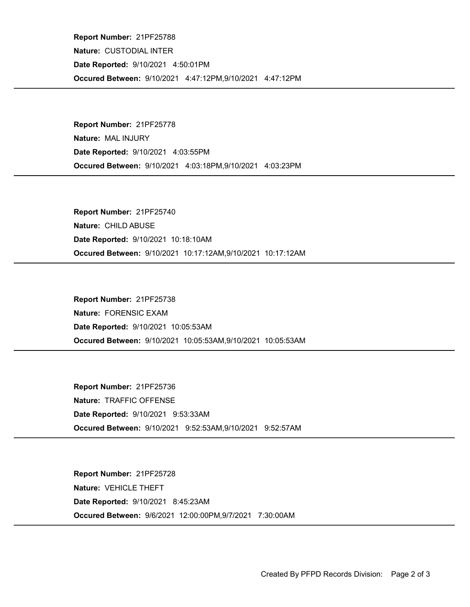Occured Between: 9/10/2021 4:47:12PM,9/10/2021 4:47:12PM Report Number: 21PF25788 Nature: CUSTODIAL INTER Date Reported: 9/10/2021 4:50:01PM

Occured Between: 9/10/2021 4:03:18PM,9/10/2021 4:03:23PM Report Number: 21PF25778 Nature: MAL INJURY Date Reported: 9/10/2021 4:03:55PM

Occured Between: 9/10/2021 10:17:12AM,9/10/2021 10:17:12AM Report Number: 21PF25740 Nature: CHILD ABUSE Date Reported: 9/10/2021 10:18:10AM

Occured Between: 9/10/2021 10:05:53AM,9/10/2021 10:05:53AM Report Number: 21PF25738 Nature: FORENSIC EXAM Date Reported: 9/10/2021 10:05:53AM

Occured Between: 9/10/2021 9:52:53AM,9/10/2021 9:52:57AM Report Number: 21PF25736 Nature: TRAFFIC OFFENSE Date Reported: 9/10/2021 9:53:33AM

Occured Between: 9/6/2021 12:00:00PM,9/7/2021 7:30:00AM Report Number: 21PF25728 Nature: VEHICLE THEFT Date Reported: 9/10/2021 8:45:23AM